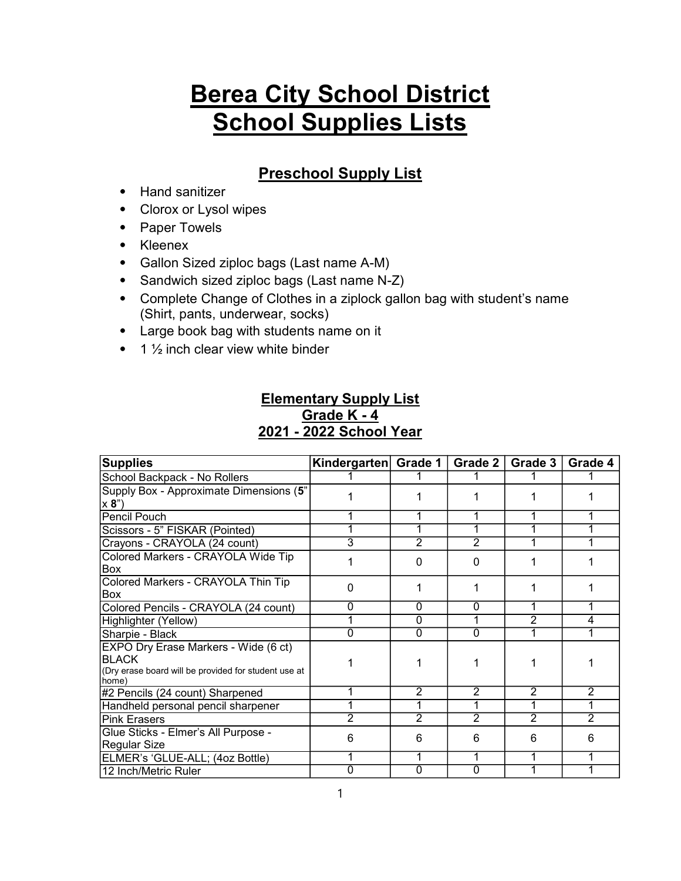# Berea City School District **School Supplies Lists**

## Preschool Supply List

- ⦁ Hand sanitizer
- ⦁ Clorox or Lysol wipes
- ⦁ Paper Towels
- ⦁ Kleenex
- ⦁ Gallon Sized ziploc bags (Last name A-M)
- ⦁ Sandwich sized ziploc bags (Last name N-Z)
- ⦁ Complete Change of Clothes in a ziplock gallon bag with student's name (Shirt, pants, underwear, socks)
- ⦁ Large book bag with students name on it
- $\cdot$  1  $\frac{1}{2}$  inch clear view white binder

### Elementary Supply List Grade K - 4 2021 - 2022 School Year

| <b>Supplies</b>                                                                                                       | Kindergarten Grade 1 |                | Grade 2        | Grade 3 | Grade 4        |
|-----------------------------------------------------------------------------------------------------------------------|----------------------|----------------|----------------|---------|----------------|
| School Backpack - No Rollers                                                                                          |                      |                |                |         |                |
| Supply Box - Approximate Dimensions (5"<br>x 8"                                                                       |                      |                |                |         |                |
| Pencil Pouch                                                                                                          |                      |                |                |         |                |
| Scissors - 5" FISKAR (Pointed)                                                                                        |                      |                |                |         | 1              |
| Crayons - CRAYOLA (24 count)                                                                                          | 3                    | 2              | 2              | 1       | 1              |
| Colored Markers - CRAYOLA Wide Tip<br>Box                                                                             |                      | <sup>0</sup>   | 0              |         |                |
| Colored Markers - CRAYOLA Thin Tip<br>Box                                                                             | ი                    |                |                |         |                |
| Colored Pencils - CRAYOLA (24 count)                                                                                  | 0                    | $\Omega$       | 0              |         |                |
| Highlighter (Yellow)                                                                                                  |                      | $\Omega$       | 1              | 2       | 4              |
| Sharpie - Black                                                                                                       | ი                    | $\Omega$       | $\Omega$       |         |                |
| EXPO Dry Erase Markers - Wide (6 ct)<br><b>BLACK</b><br>(Dry erase board will be provided for student use at<br>home) |                      |                |                |         |                |
| #2 Pencils (24 count) Sharpened                                                                                       |                      | 2              | $\overline{2}$ | 2       | 2              |
| Handheld personal pencil sharpener                                                                                    |                      |                | 1              | 1       | 1              |
| Pink Erasers                                                                                                          | 2                    | $\overline{2}$ | $\overline{2}$ | 2       | $\overline{2}$ |
| Glue Sticks - Elmer's All Purpose -<br>Regular Size                                                                   | 6                    | 6              | 6              | 6       | 6              |
| ELMER's 'GLUE-ALL; (4oz Bottle)                                                                                       |                      |                |                |         |                |
| 12 Inch/Metric Ruler                                                                                                  |                      | $\Omega$       | 0              |         |                |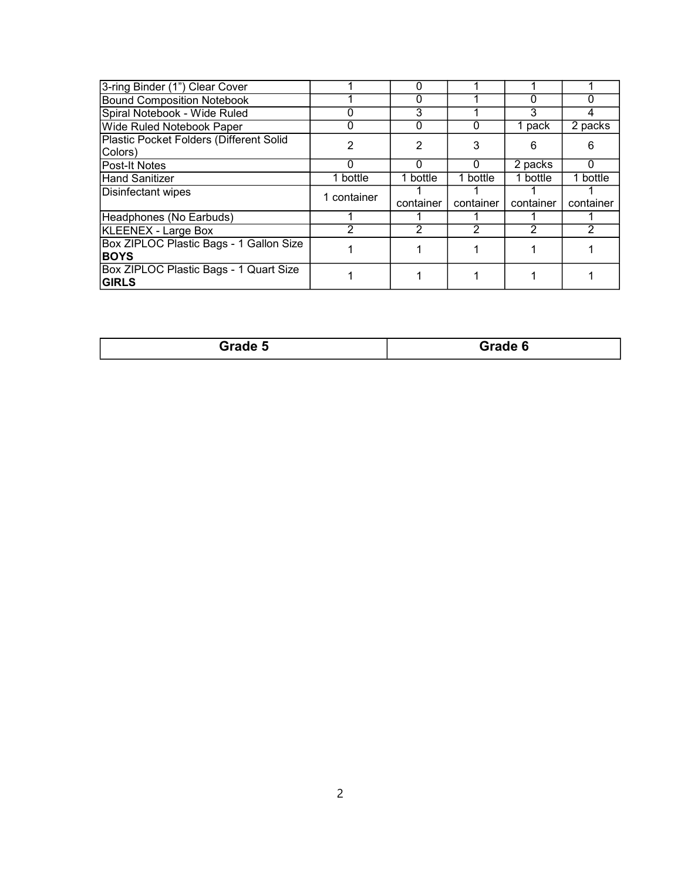| 3-ring Binder (1") Clear Cover                         |             |           |           |           |           |
|--------------------------------------------------------|-------------|-----------|-----------|-----------|-----------|
| <b>Bound Composition Notebook</b>                      |             |           |           |           |           |
| Spiral Notebook - Wide Ruled                           |             | 3         |           | 3         |           |
| <b>Wide Ruled Notebook Paper</b>                       | O           | 0         | 0         | 1 pack    | 2 packs   |
| Plastic Pocket Folders (Different Solid<br>Colors)     | 2           | 2         | 3         | 6         | 6         |
| Post-It Notes                                          | 0           | 0         | 0         | 2 packs   | 0         |
| Hand Sanitizer                                         | 1 bottle    | 1 bottle  | 1 bottle  | 1 bottle  | 1 bottle  |
| Disinfectant wipes                                     | 1 container | container | container | container | container |
| Headphones (No Earbuds)                                |             |           |           |           |           |
| <b>KLEENEX - Large Box</b>                             |             |           | 2         |           |           |
| Box ZIPLOC Plastic Bags - 1 Gallon Size<br><b>BOYS</b> |             |           |           |           |           |
| Box ZIPLOC Plastic Bags - 1 Quart Size<br><b>GIRLS</b> |             |           |           |           |           |

| <b>Grade</b> : | Grade 6 |
|----------------|---------|
|                | $-$     |
|                |         |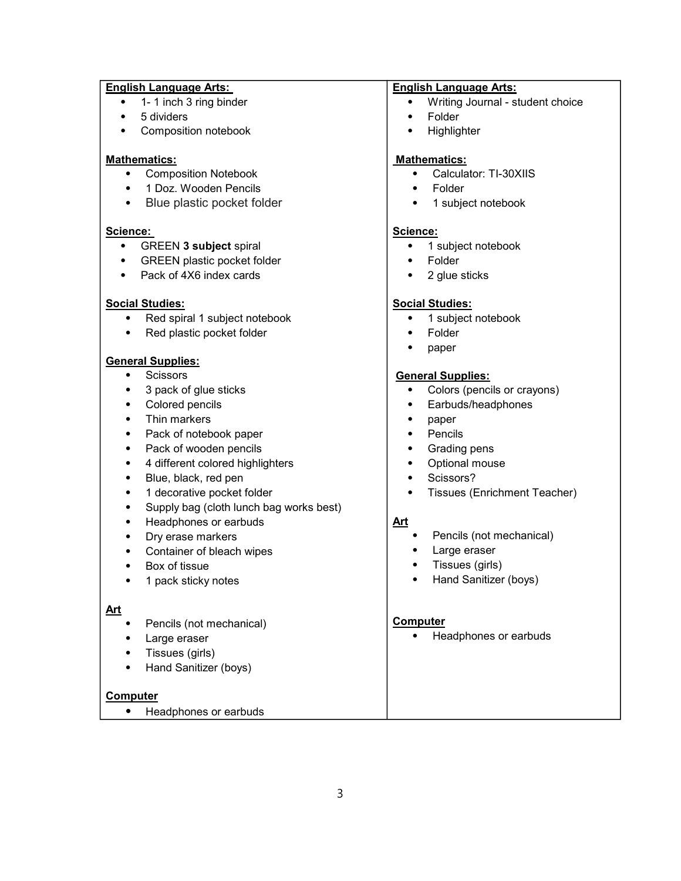#### English Language Arts:

- 1- 1 inch 3 ring binder
- ⦁ 5 dividers
- ⦁ Composition notebook

#### Mathematics:

- ⦁ Composition Notebook
- ⦁ 1 Doz. Wooden Pencils
- ⦁ Blue plastic pocket folder

#### Science:

- ⦁ GREEN 3 subject spiral
- ⦁ GREEN plastic pocket folder
- ⦁ Pack of 4X6 index cards

#### Social Studies:

- ⦁ Red spiral 1 subject notebook
- ⦁ Red plastic pocket folder

#### General Supplies:

- **Scissors**
- 3 pack of glue sticks
- ⦁ Colored pencils
- ⦁ Thin markers
- ⦁ Pack of notebook paper
- ⦁ Pack of wooden pencils
- ⦁ 4 different colored highlighters
- ⦁ Blue, black, red pen
- ⦁ 1 decorative pocket folder
- ⦁ Supply bag (cloth lunch bag works best)
- ⦁ Headphones or earbuds
- ⦁ Dry erase markers
- ⦁ Container of bleach wipes
- ⦁ Box of tissue
- ⦁ 1 pack sticky notes

#### Art

- ⦁ Pencils (not mechanical)
- ⦁ Large eraser
- ⦁ Tissues (girls)
- ⦁ Hand Sanitizer (boys)

#### Computer

⦁ Headphones or earbuds

#### English Language Arts:

- ⦁ Writing Journal student choice
- ⦁ Folder
- ⦁ Highlighter

#### Mathematics:

- ⦁ Calculator: TI-30XIIS
- **Folder**
- ⦁ 1 subject notebook

#### Science:

- ⦁ 1 subject notebook
- ⦁ Folder
- 2 glue sticks

#### Social Studies:

- ⦁ 1 subject notebook
- ⦁ Folder
- ⦁ paper

#### General Supplies:

- ⦁ Colors (pencils or crayons)
- ⦁ Earbuds/headphones
- ⦁ paper
- ⦁ Pencils
- ⦁ Grading pens
- ⦁ Optional mouse
- ⦁ Scissors?
- ⦁ Tissues (Enrichment Teacher)

#### Art

- ⦁ Pencils (not mechanical)
- Large eraser
- ⦁ Tissues (girls)
- ⦁ Hand Sanitizer (boys)

#### Computer

⦁ Headphones or earbuds